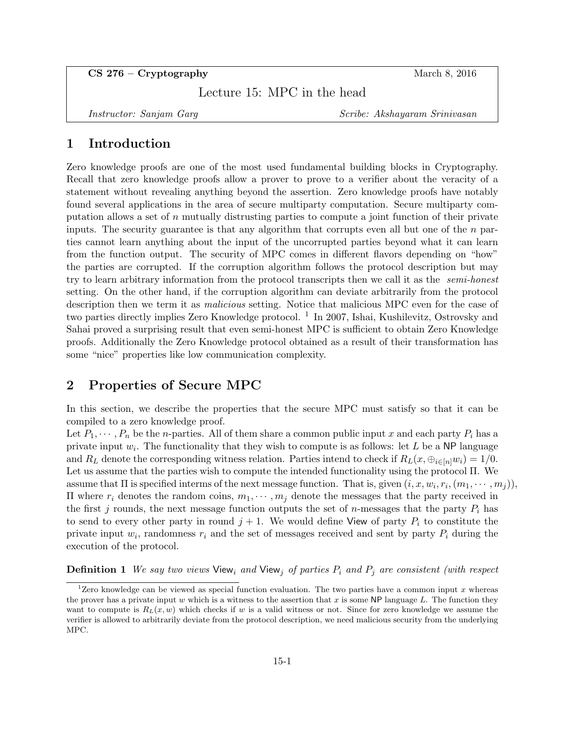CS 276 – Cryptography March 8, 2016

Lecture 15: MPC in the head

Instructor: Sanjam Garg Scribe: Akshayaram Srinivasan

# 1 Introduction

Zero knowledge proofs are one of the most used fundamental building blocks in Cryptography. Recall that zero knowledge proofs allow a prover to prove to a verifier about the veracity of a statement without revealing anything beyond the assertion. Zero knowledge proofs have notably found several applications in the area of secure multiparty computation. Secure multiparty computation allows a set of  $n$  mutually distrusting parties to compute a joint function of their private inputs. The security guarantee is that any algorithm that corrupts even all but one of the  $n$  parties cannot learn anything about the input of the uncorrupted parties beyond what it can learn from the function output. The security of MPC comes in different flavors depending on "how" the parties are corrupted. If the corruption algorithm follows the protocol description but may try to learn arbitrary information from the protocol transcripts then we call it as the *semi-honest* setting. On the other hand, if the corruption algorithm can deviate arbitrarily from the protocol description then we term it as *malicious* setting. Notice that malicious MPC even for the case of two parties directly implies Zero Knowledge protocol. <sup>1</sup> In 2007, Ishai, Kushilevitz, Ostrovsky and Sahai proved a surprising result that even semi-honest MPC is sufficient to obtain Zero Knowledge proofs. Additionally the Zero Knowledge protocol obtained as a result of their transformation has some "nice" properties like low communication complexity.

## 2 Properties of Secure MPC

In this section, we describe the properties that the secure MPC must satisfy so that it can be compiled to a zero knowledge proof.

Let  $P_1, \dots, P_n$  be the *n*-parties. All of them share a common public input x and each party  $P_i$  has a private input  $w_i$ . The functionality that they wish to compute is as follows: let L be a NP language and  $R_L$  denote the corresponding witness relation. Parties intend to check if  $R_L(x, \bigoplus_{i\in[n]} w_i) = 1/0$ . Let us assume that the parties wish to compute the intended functionality using the protocol Π. We assume that  $\Pi$  is specified interms of the next message function. That is, given  $(i, x, w_i, r_i, (m_1, \cdots, m_j)),$ Π where  $r_i$  denotes the random coins,  $m_1, \dots, m_j$  denote the messages that the party received in the first j rounds, the next message function outputs the set of n-messages that the party  $P_i$  has to send to every other party in round  $j + 1$ . We would define View of party  $P_i$  to constitute the private input  $w_i$ , randomness  $r_i$  and the set of messages received and sent by party  $P_i$  during the execution of the protocol.

**Definition 1** We say two views View<sub>i</sub> and View<sub>j</sub> of parties  $P_i$  and  $P_j$  are consistent (with respect

<sup>&</sup>lt;sup>1</sup>Zero knowledge can be viewed as special function evaluation. The two parties have a common input x whereas the prover has a private input w which is a witness to the assertion that x is some NP language L. The function they want to compute is  $R_L(x, w)$  which checks if w is a valid witness or not. Since for zero knowledge we assume the verifier is allowed to arbitrarily deviate from the protocol description, we need malicious security from the underlying MPC.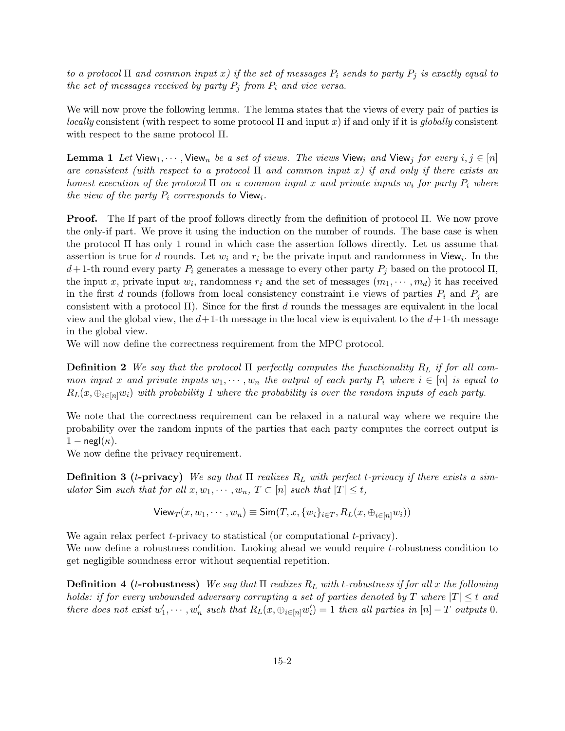to a protocol  $\Pi$  and common input x) if the set of messages  $P_i$  sends to party  $P_j$  is exactly equal to the set of messages received by party  $P_i$  from  $P_i$  and vice versa.

We will now prove the following lemma. The lemma states that the views of every pair of parties is *locally* consistent (with respect to some protocol  $\Pi$  and input x) if and only if it is globally consistent with respect to the same protocol Π.

**Lemma 1** Let View<sub>1</sub>,  $\cdots$ , View<sub>n</sub> be a set of views. The views View<sub>i</sub> and View<sub>i</sub> for every i,  $j \in [n]$ are consistent (with respect to a protocol  $\Pi$  and common input x) if and only if there exists an honest execution of the protocol  $\Pi$  on a common input x and private inputs  $w_i$  for party  $P_i$  where the view of the party  $P_i$  corresponds to View<sub>i</sub>.

Proof. The If part of the proof follows directly from the definition of protocol Π. We now prove the only-if part. We prove it using the induction on the number of rounds. The base case is when the protocol Π has only 1 round in which case the assertion follows directly. Let us assume that assertion is true for d rounds. Let  $w_i$  and  $r_i$  be the private input and randomness in View<sub>i</sub>. In the  $d+1$ -th round every party  $P_i$  generates a message to every other party  $P_i$  based on the protocol  $\Pi$ , the input x, private input  $w_i$ , randomness  $r_i$  and the set of messages  $(m_1, \dots, m_d)$  it has received in the first d rounds (follows from local consistency constraint i.e views of parties  $P_i$  and  $P_j$  are consistent with a protocol  $\Pi$ ). Since for the first d rounds the messages are equivalent in the local view and the global view, the  $d+1$ -th message in the local view is equivalent to the  $d+1$ -th message in the global view.

We will now define the correctness requirement from the MPC protocol.

**Definition 2** We say that the protocol  $\Pi$  perfectly computes the functionality  $R_L$  if for all common input x and private inputs  $w_1, \dots, w_n$  the output of each party  $P_i$  where  $i \in [n]$  is equal to  $R_L(x, \bigoplus_{i \in [n]} w_i)$  with probability 1 where the probability is over the random inputs of each party.

We note that the correctness requirement can be relaxed in a natural way where we require the probability over the random inputs of the parties that each party computes the correct output is  $1 - \text{negl}(\kappa)$ .

We now define the privacy requirement.

**Definition 3** (*t*-privacy) We say that  $\Pi$  realizes  $R_L$  with perfect *t*-privacy if there exists a simulator Sim such that for all  $x, w_1, \dots, w_n$ ,  $T \subset [n]$  such that  $|T| \leq t$ ,

$$
\mathsf{View}_T(x, w_1, \cdots, w_n) \equiv \mathsf{Sim}(T, x, \{w_i\}_{i \in T}, R_L(x, \oplus_{i \in [n]} w_i))
$$

We again relax perfect  $t$ -privacy to statistical (or computational  $t$ -privacy). We now define a robustness condition. Looking ahead we would require t-robustness condition to get negligible soundness error without sequential repetition.

**Definition 4 (t-robustness)** We say that  $\Pi$  realizes  $R_L$  with t-robustness if for all x the following holds: if for every unbounded adversary corrupting a set of parties denoted by T where  $|T| \leq t$  and there does not exist  $w'_1, \dots, w'_n$  such that  $R_L(x, \bigoplus_{i \in [n]} w'_i) = 1$  then all parties in  $[n] - T$  outputs 0.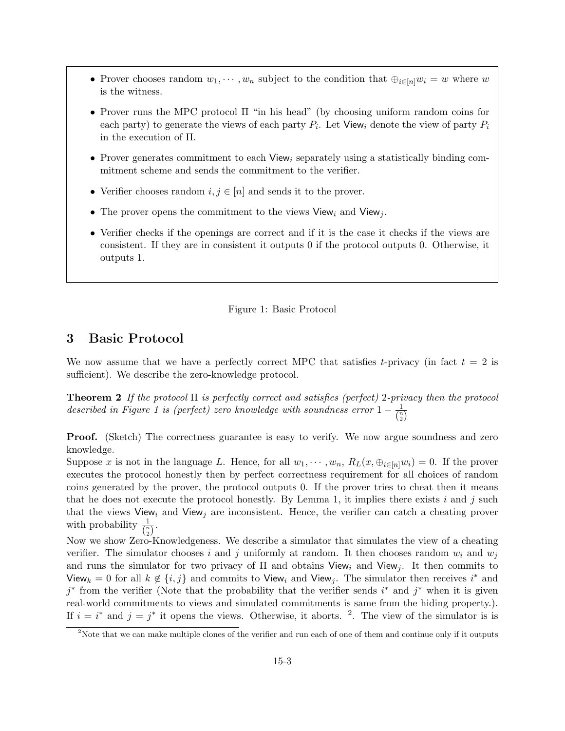- Prover chooses random  $w_1, \dots, w_n$  subject to the condition that  $\bigoplus_{i \in [n]} w_i = w$  where w is the witness.
- Prover runs the MPC protocol Π "in his head" (by choosing uniform random coins for each party) to generate the views of each party  $P_i$ . Let View<sub>i</sub> denote the view of party  $P_i$ in the execution of Π.
- Prover generates commitment to each View<sub>i</sub> separately using a statistically binding commitment scheme and sends the commitment to the verifier.
- Verifier chooses random  $i, j \in [n]$  and sends it to the prover.
- The prover opens the commitment to the views View<sub>i</sub> and View<sub>j</sub>.
- Verifier checks if the openings are correct and if it is the case it checks if the views are consistent. If they are in consistent it outputs 0 if the protocol outputs 0. Otherwise, it outputs 1.

#### Figure 1: Basic Protocol

## 3 Basic Protocol

We now assume that we have a perfectly correct MPC that satisfies t-privacy (in fact  $t = 2$  is sufficient). We describe the zero-knowledge protocol.

**Theorem 2** If the protocol  $\Pi$  is perfectly correct and satisfies (perfect) 2-privacy then the protocol described in Figure 1 is (perfect) zero knowledge with soundness error  $1 - \frac{1}{\sqrt{n}}$  $\overline{\binom{n}{2}}$ 

Proof. (Sketch) The correctness guarantee is easy to verify. We now argue soundness and zero knowledge.

Suppose x is not in the language L. Hence, for all  $w_1, \dots, w_n$ ,  $R_L(x, \bigoplus_{i \in [n]} w_i) = 0$ . If the prover executes the protocol honestly then by perfect correctness requirement for all choices of random coins generated by the prover, the protocol outputs 0. If the prover tries to cheat then it means that he does not execute the protocol honestly. By Lemma 1, it implies there exists  $i$  and  $j$  such that the views View<sub>i</sub> and View<sub>j</sub> are inconsistent. Hence, the verifier can catch a cheating prover with probability  $\frac{1}{\binom{n}{2}}$ .

Now we show Zero-Knowledgeness. We describe a simulator that simulates the view of a cheating verifier. The simulator chooses i and j uniformly at random. It then chooses random  $w_i$  and  $w_j$ and runs the simulator for two privacy of  $\Pi$  and obtains View<sub>i</sub> and View<sub>i</sub>. It then commits to View<sub>k</sub> = 0 for all  $k \notin \{i, j\}$  and commits to View<sub>i</sub> and View<sub>j</sub>. The simulator then receives i<sup>\*</sup> and  $j^*$  from the verifier (Note that the probability that the verifier sends  $i^*$  and  $j^*$  when it is given real-world commitments to views and simulated commitments is same from the hiding property.). If  $i = i^*$  and  $j = j^*$  it opens the views. Otherwise, it aborts. <sup>2</sup>. The view of the simulator is is

<sup>&</sup>lt;sup>2</sup>Note that we can make multiple clones of the verifier and run each of one of them and continue only if it outputs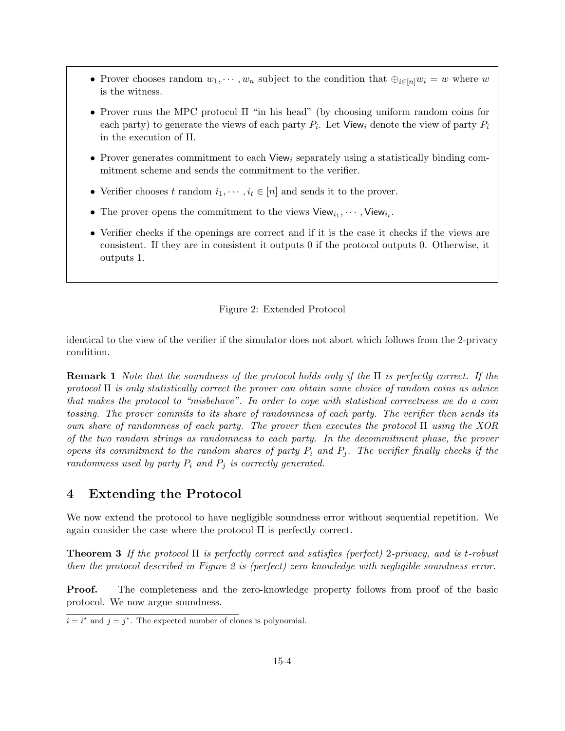- Prover chooses random  $w_1, \dots, w_n$  subject to the condition that  $\bigoplus_{i \in [n]} w_i = w$  where w is the witness.
- Prover runs the MPC protocol Π "in his head" (by choosing uniform random coins for each party) to generate the views of each party  $P_i$ . Let View<sub>i</sub> denote the view of party  $P_i$ in the execution of Π.
- Prover generates commitment to each View<sub>i</sub> separately using a statistically binding commitment scheme and sends the commitment to the verifier.
- Verifier chooses t random  $i_1, \dots, i_t \in [n]$  and sends it to the prover.
- The prover opens the commitment to the views  $View_{i_1}, \cdots, View_{i_t}$ .
- Verifier checks if the openings are correct and if it is the case it checks if the views are consistent. If they are in consistent it outputs 0 if the protocol outputs 0. Otherwise, it outputs 1.

### Figure 2: Extended Protocol

identical to the view of the verifier if the simulator does not abort which follows from the 2-privacy condition.

**Remark 1** Note that the soundness of the protocol holds only if the  $\Pi$  is perfectly correct. If the protocol  $\Pi$  is only statistically correct the prover can obtain some choice of random coins as advice that makes the protocol to "misbehave". In order to cope with statistical correctness we do a coin tossing. The prover commits to its share of randomness of each party. The verifier then sends its own share of randomness of each party. The prover then executes the protocol Π using the XOR of the two random strings as randomness to each party. In the decommitment phase, the prover opens its commitment to the random shares of party  $P_i$  and  $P_j$ . The verifier finally checks if the randomness used by party  $P_i$  and  $P_j$  is correctly generated.

# 4 Extending the Protocol

We now extend the protocol to have negligible soundness error without sequential repetition. We again consider the case where the protocol Π is perfectly correct.

**Theorem 3** If the protocol  $\Pi$  is perfectly correct and satisfies (perfect) 2-privacy, and is t-robust then the protocol described in Figure 2 is (perfect) zero knowledge with negligible soundness error.

**Proof.** The completeness and the zero-knowledge property follows from proof of the basic protocol. We now argue soundness.

 $i = i^*$  and  $j = j^*$ . The expected number of clones is polynomial.